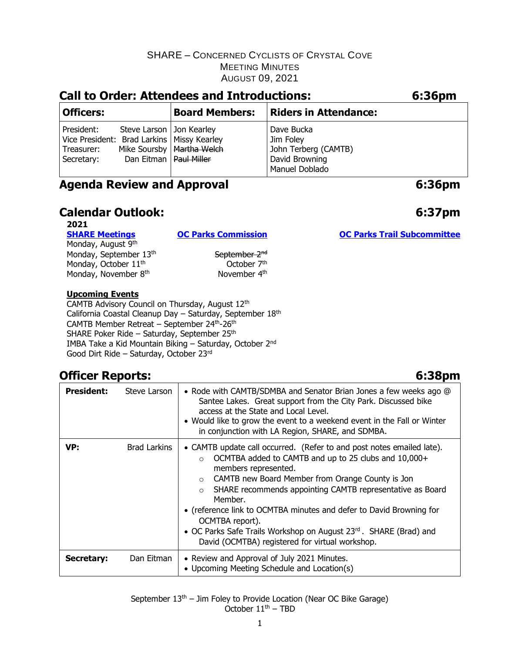| <b>Call to Order: Attendees and Introductions:</b>                                     |                                                        |                             | 6:36pm                                                                              |  |
|----------------------------------------------------------------------------------------|--------------------------------------------------------|-----------------------------|-------------------------------------------------------------------------------------|--|
| <b>Officers:</b>                                                                       |                                                        | <b>Board Members:</b>       | <b>Riders in Attendance:</b>                                                        |  |
| President:<br>Vice President: Brad Larkins   Missy Kearley<br>Treasurer:<br>Secretary: | Steve Larson   Jon Kearley<br>Dan Eitman   Paul Miller | Mike Soursby   Martha Welch | Dave Bucka<br>Jim Foley<br>John Terberg (CAMTB)<br>David Browning<br>Manuel Doblado |  |

# **Agenda Review and Approval 6:36pm**

# **Calendar Outlook: 6:37pm**

**2021**

Monday, August 9<sup>th</sup> Monday, September 13<sup>th</sup> September 2<sup>nd</sup><br>Monday, October 11<sup>th</sup> Cotober 7<sup>th</sup> Monday, October 11<sup>th</sup> Monday, November 8<sup>th</sup>

th **November 4<sup>th</sup>** 

#### **Upcoming Events**

CAMTB Advisory Council on Thursday, August 12th California Coastal Cleanup Day – Saturday, September 18th CAMTB Member Retreat – September 24th-26th SHARE Poker Ride – Saturday, September 25<sup>th</sup> IMBA Take a Kid Mountain Biking – Saturday, October 2nd Good Dirt Ride – Saturday, October 23rd

# **Officer Reports: 6:38pm**

| <b>President:</b> | Steve Larson        | • Rode with CAMTB/SDMBA and Senator Brian Jones a few weeks ago @<br>Santee Lakes. Great support from the City Park. Discussed bike<br>access at the State and Local Level.<br>• Would like to grow the event to a weekend event in the Fall or Winter<br>in conjunction with LA Region, SHARE, and SDMBA.                                                                                                                                                                                                                           |
|-------------------|---------------------|--------------------------------------------------------------------------------------------------------------------------------------------------------------------------------------------------------------------------------------------------------------------------------------------------------------------------------------------------------------------------------------------------------------------------------------------------------------------------------------------------------------------------------------|
| VP:               | <b>Brad Larkins</b> | • CAMTB update call occurred. (Refer to and post notes emailed late).<br>OCMTBA added to CAMTB and up to 25 clubs and 10,000+<br>$\Omega$<br>members represented.<br>CAMTB new Board Member from Orange County is Jon<br>$\circ$<br>SHARE recommends appointing CAMTB representative as Board<br>$\circ$<br>Member.<br>• (reference link to OCMTBA minutes and defer to David Browning for<br>OCMTBA report).<br>• OC Parks Safe Trails Workshop on August 23rd. SHARE (Brad) and<br>David (OCMTBA) registered for virtual workshop. |
| Secretary:        | Dan Eitman          | • Review and Approval of July 2021 Minutes.<br>• Upcoming Meeting Schedule and Location(s)                                                                                                                                                                                                                                                                                                                                                                                                                                           |

September  $13<sup>th</sup>$  – Jim Foley to Provide Location (Near OC Bike Garage) October  $11<sup>th</sup>$  – TBD

**[SHARE Meetings](https://sharemtb.com/) [OC Parks Commission](https://www.ocparks.com/about/commission/agenda) [OC Parks Trail Subcommittee](https://www.ocparks.com/parks/trails/meetings)**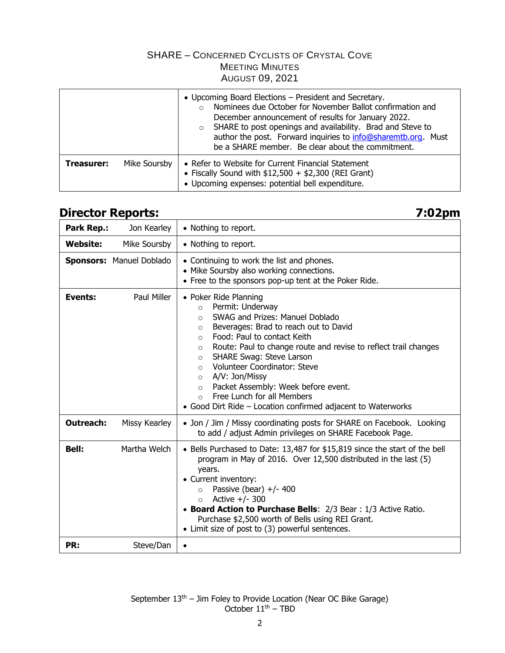|            |              | • Upcoming Board Elections – President and Secretary.<br>Nominees due October for November Ballot confirmation and<br>$\Omega$<br>December announcement of results for January 2022.<br>SHARE to post openings and availability. Brad and Steve to<br>$\circ$<br>author the post. Forward inquiries to info@sharemtb.org. Must<br>be a SHARE member. Be clear about the commitment. |  |
|------------|--------------|-------------------------------------------------------------------------------------------------------------------------------------------------------------------------------------------------------------------------------------------------------------------------------------------------------------------------------------------------------------------------------------|--|
| Treasurer: | Mike Soursby | • Refer to Website for Current Financial Statement<br>• Fiscally Sound with $$12,500 + $2,300$ (REI Grant)<br>• Upcoming expenses: potential bell expenditure.                                                                                                                                                                                                                      |  |

## **Director Reports: 7:02pm**

| Park Rep.:       | Jon Kearley                     | • Nothing to report.                                                                                                                                                                                                                                                                                                                                                                                                                                                                                                                                                       |
|------------------|---------------------------------|----------------------------------------------------------------------------------------------------------------------------------------------------------------------------------------------------------------------------------------------------------------------------------------------------------------------------------------------------------------------------------------------------------------------------------------------------------------------------------------------------------------------------------------------------------------------------|
| <b>Website:</b>  | Mike Soursby                    | • Nothing to report.                                                                                                                                                                                                                                                                                                                                                                                                                                                                                                                                                       |
|                  | <b>Sponsors: Manuel Doblado</b> | • Continuing to work the list and phones.<br>• Mike Soursby also working connections.<br>• Free to the sponsors pop-up tent at the Poker Ride.                                                                                                                                                                                                                                                                                                                                                                                                                             |
| Events:          | Paul Miller                     | • Poker Ride Planning<br>Permit: Underway<br>$\circ$<br>SWAG and Prizes: Manuel Doblado<br>$\bigcirc$<br>Beverages: Brad to reach out to David<br>$\circ$<br>Food: Paul to contact Keith<br>$\circ$<br>Route: Paul to change route and revise to reflect trail changes<br>$\circ$<br><b>SHARE Swag: Steve Larson</b><br>$\circ$<br><b>Volunteer Coordinator: Steve</b><br>$\Omega$<br>A/V: Jon/Missy<br>$\circ$<br>Packet Assembly: Week before event.<br>$\circ$<br>Free Lunch for all Members<br>$\circ$<br>• Good Dirt Ride - Location confirmed adjacent to Waterworks |
| <b>Outreach:</b> | Missy Kearley                   | • Jon / Jim / Missy coordinating posts for SHARE on Facebook. Looking<br>to add / adjust Admin privileges on SHARE Facebook Page.                                                                                                                                                                                                                                                                                                                                                                                                                                          |
| <b>Bell:</b>     | Martha Welch                    | • Bells Purchased to Date: 13,487 for \$15,819 since the start of the bell<br>program in May of 2016. Over 12,500 distributed in the last (5)<br>years.<br>• Current inventory:<br>Passive (bear) $+/- 400$<br>$\circ$<br>Active $+/- 300$<br>$\circ$<br>• Board Action to Purchase Bells: 2/3 Bear: 1/3 Active Ratio.<br>Purchase \$2,500 worth of Bells using REI Grant.<br>• Limit size of post to (3) powerful sentences.                                                                                                                                              |
| PR:              | Steve/Dan                       | $\bullet$                                                                                                                                                                                                                                                                                                                                                                                                                                                                                                                                                                  |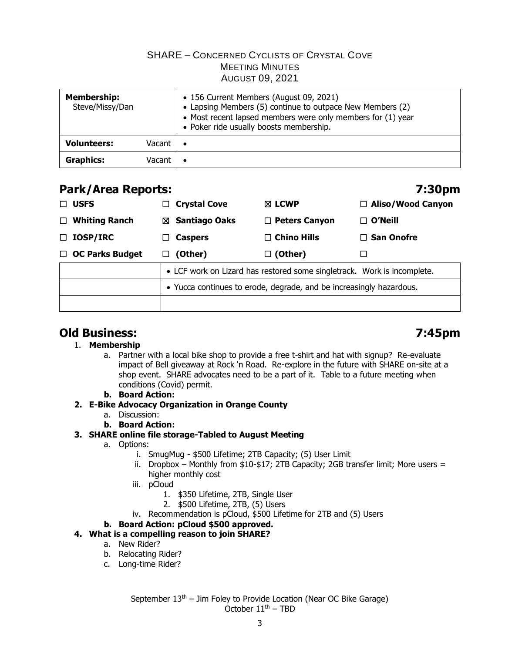| <b>Membership:</b><br>Steve/Missy/Dan |        | • 156 Current Members (August 09, 2021)<br>• Lapsing Members (5) continue to outpace New Members (2)<br>• Most recent lapsed members were only members for (1) year<br>• Poker ride usually boosts membership. |  |
|---------------------------------------|--------|----------------------------------------------------------------------------------------------------------------------------------------------------------------------------------------------------------------|--|
| <b>Volunteers:</b>                    | Vacant | ٠                                                                                                                                                                                                              |  |
| <b>Graphics:</b>                      | Vacant |                                                                                                                                                                                                                |  |

### **Park/Area Reports: 7:30pm**

| <b>USFS</b><br>$\Box$          | <b>Crystal Cove</b><br>⊔ ⊢                                          | $\boxtimes$ LCWP                                                        | $\Box$ Aliso/Wood Canyon |  |
|--------------------------------|---------------------------------------------------------------------|-------------------------------------------------------------------------|--------------------------|--|
| <b>Whiting Ranch</b><br>$\Box$ | ⊠ Santiago Oaks                                                     | $\Box$ Peters Canyon                                                    | $\Box$ O'Neill           |  |
| <b>IOSP/IRC</b><br>$\Box$      | <b>Caspers</b><br>LI                                                | $\Box$ Chino Hills                                                      | $\Box$ San Onofre        |  |
| $\Box$ OC Parks Budget         | (Other)<br>ப                                                        | $\Box$ (Other)                                                          |                          |  |
|                                |                                                                     | • LCF work on Lizard has restored some singletrack. Work is incomplete. |                          |  |
|                                | • Yucca continues to erode, degrade, and be increasingly hazardous. |                                                                         |                          |  |
|                                |                                                                     |                                                                         |                          |  |

# **Old Business: 7:45pm**

### 1. **Membership**

a. Partner with a local bike shop to provide a free t-shirt and hat with signup? Re-evaluate impact of Bell giveaway at Rock 'n Road. Re-explore in the future with SHARE on-site at a shop event. SHARE advocates need to be a part of it. Table to a future meeting when conditions (Covid) permit.

#### **b. Board Action:**

### **2. E-Bike Advocacy Organization in Orange County**

- a. Discussion:
- **b. Board Action:**

### **3. SHARE online file storage-Tabled to August Meeting**

- a. Options:
	- i. SmugMug \$500 Lifetime; 2TB Capacity; (5) User Limit
	- ii. Dropbox Monthly from  $$10$ - $$17$ ; 2TB Capacity; 2GB transfer limit; More users = higher monthly cost
	- iii. pCloud
		- 1. \$350 Lifetime, 2TB, Single User
		- 2. \$500 Lifetime, 2TB, (5) Users
	- iv. Recommendation is pCloud, \$500 Lifetime for 2TB and (5) Users
- **b. Board Action: pCloud \$500 approved.**

#### **4. What is a compelling reason to join SHARE?**

- a. New Rider?
- b. Relocating Rider?
- c. Long-time Rider?

September  $13<sup>th</sup>$  – Jim Foley to Provide Location (Near OC Bike Garage) October  $11<sup>th</sup>$  – TBD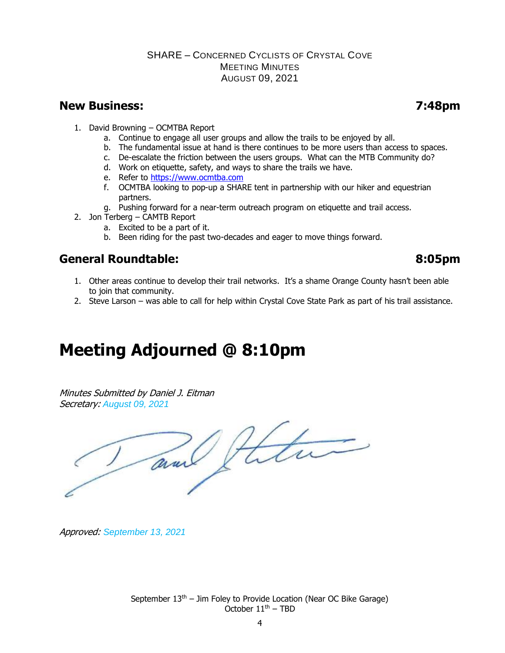### **New Business: 7:48pm**

- 1. David Browning OCMTBA Report
	- a. Continue to engage all user groups and allow the trails to be enjoyed by all.
	- b. The fundamental issue at hand is there continues to be more users than access to spaces.
	- c. De-escalate the friction between the users groups. What can the MTB Community do?
	- d. Work on etiquette, safety, and ways to share the trails we have.
	- e. Refer to [https://www.ocmtba.com](https://www.ocmtba.com/)
	- f. OCMTBA looking to pop-up a SHARE tent in partnership with our hiker and equestrian partners.
	- g. Pushing forward for a near-term outreach program on etiquette and trail access.
- 2. Jon Terberg CAMTB Report
	- a. Excited to be a part of it.
	- b. Been riding for the past two-decades and eager to move things forward.

# **General Roundtable: 8:05pm**

- 1. Other areas continue to develop their trail networks. It's a shame Orange County hasn't been able to join that community.
- 2. Steve Larson was able to call for help within Crystal Cove State Park as part of his trail assistance.

# **Meeting Adjourned @ 8:10pm**

Minutes Submitted by Daniel J. Eitman Secretary: *August 09, 2021*

and

Approved: *September 13, 2021*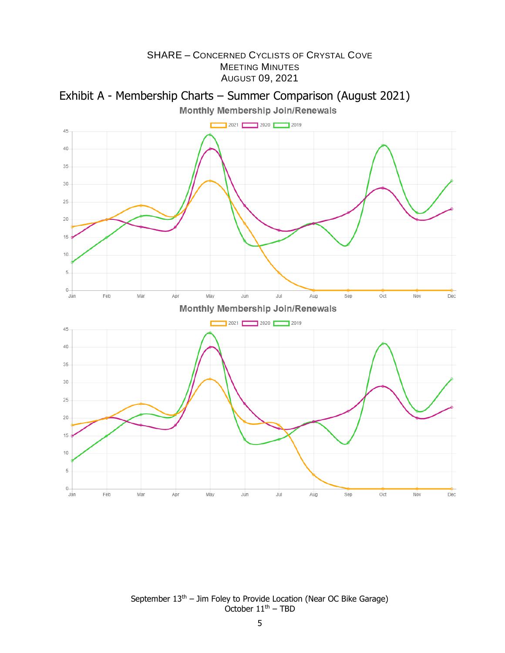



September  $13<sup>th</sup>$  – Jim Foley to Provide Location (Near OC Bike Garage) October  $11<sup>th</sup>$  – TBD